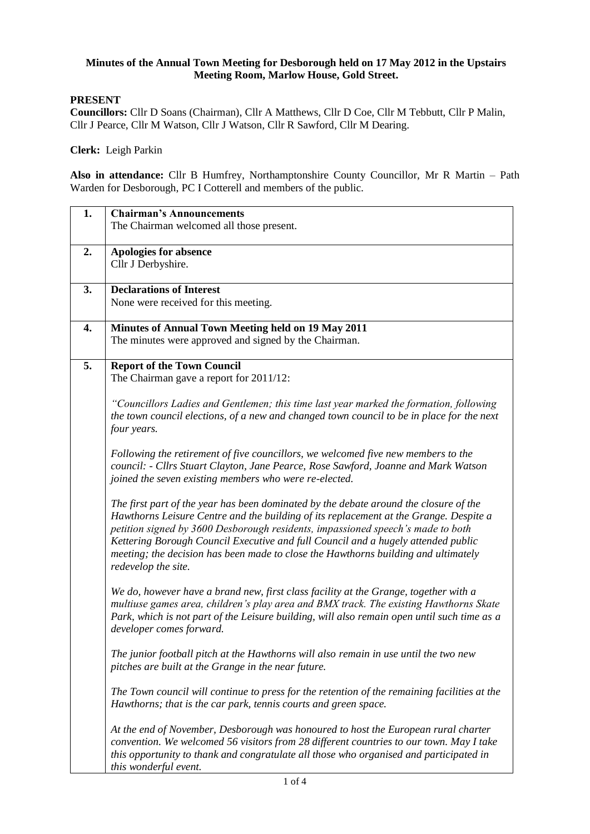## **Minutes of the Annual Town Meeting for Desborough held on 17 May 2012 in the Upstairs Meeting Room, Marlow House, Gold Street.**

## **PRESENT**

**Councillors:** Cllr D Soans (Chairman), Cllr A Matthews, Cllr D Coe, Cllr M Tebbutt, Cllr P Malin, Cllr J Pearce, Cllr M Watson, Cllr J Watson, Cllr R Sawford, Cllr M Dearing.

**Clerk:** Leigh Parkin

**Also in attendance:** Cllr B Humfrey, Northamptonshire County Councillor, Mr R Martin – Path Warden for Desborough, PC I Cotterell and members of the public.

| 1. | <b>Chairman's Announcements</b>                                                              |
|----|----------------------------------------------------------------------------------------------|
|    | The Chairman welcomed all those present.                                                     |
|    |                                                                                              |
| 2. | <b>Apologies for absence</b>                                                                 |
|    | Cllr J Derbyshire.                                                                           |
|    |                                                                                              |
| 3. | <b>Declarations of Interest</b>                                                              |
|    | None were received for this meeting.                                                         |
|    |                                                                                              |
| 4. | Minutes of Annual Town Meeting held on 19 May 2011                                           |
|    | The minutes were approved and signed by the Chairman.                                        |
|    |                                                                                              |
| 5. | <b>Report of the Town Council</b>                                                            |
|    |                                                                                              |
|    | The Chairman gave a report for 2011/12:                                                      |
|    |                                                                                              |
|    | "Councillors Ladies and Gentlemen; this time last year marked the formation, following       |
|    | the town council elections, of a new and changed town council to be in place for the next    |
|    | four years.                                                                                  |
|    |                                                                                              |
|    | Following the retirement of five councillors, we welcomed five new members to the            |
|    | council: - Cllrs Stuart Clayton, Jane Pearce, Rose Sawford, Joanne and Mark Watson           |
|    | joined the seven existing members who were re-elected.                                       |
|    |                                                                                              |
|    | The first part of the year has been dominated by the debate around the closure of the        |
|    | Hawthorns Leisure Centre and the building of its replacement at the Grange. Despite a        |
|    | petition signed by 3600 Desborough residents, impassioned speech's made to both              |
|    | Kettering Borough Council Executive and full Council and a hugely attended public            |
|    | meeting; the decision has been made to close the Hawthorns building and ultimately           |
|    | redevelop the site.                                                                          |
|    |                                                                                              |
|    | We do, however have a brand new, first class facility at the Grange, together with a         |
|    | multiuse games area, children's play area and BMX track. The existing Hawthorns Skate        |
|    | Park, which is not part of the Leisure building, will also remain open until such time as a  |
|    | developer comes forward.                                                                     |
|    |                                                                                              |
|    | The junior football pitch at the Hawthorns will also remain in use until the two new         |
|    | pitches are built at the Grange in the near future.                                          |
|    |                                                                                              |
|    | The Town council will continue to press for the retention of the remaining facilities at the |
|    | Hawthorns; that is the car park, tennis courts and green space.                              |
|    |                                                                                              |
|    | At the end of November, Desborough was honoured to host the European rural charter           |
|    | convention. We welcomed 56 visitors from 28 different countries to our town. May I take      |
|    | this opportunity to thank and congratulate all those who organised and participated in       |
|    | this wonderful event.                                                                        |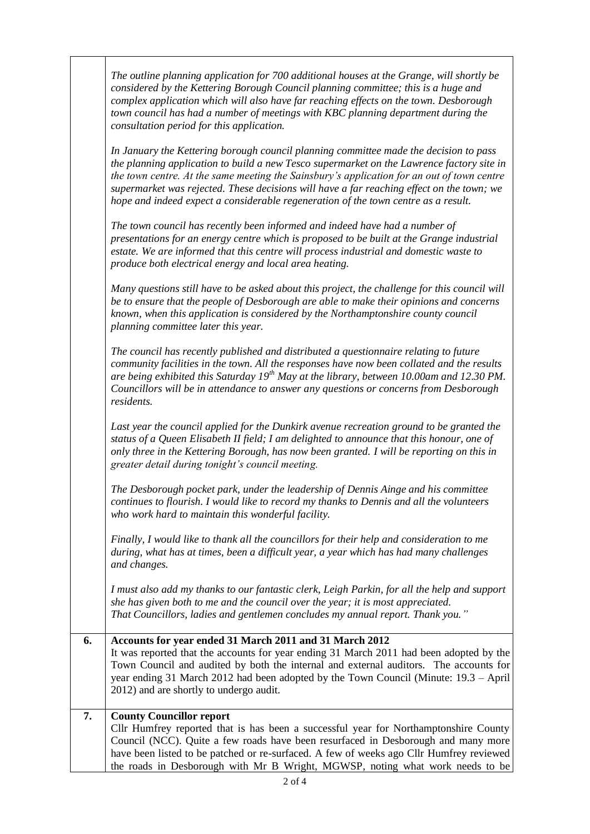|    | The outline planning application for 700 additional houses at the Grange, will shortly be<br>considered by the Kettering Borough Council planning committee; this is a huge and<br>complex application which will also have far reaching effects on the town. Desborough<br>town council has had a number of meetings with KBC planning department during the<br>consultation period for this application.                                                          |
|----|---------------------------------------------------------------------------------------------------------------------------------------------------------------------------------------------------------------------------------------------------------------------------------------------------------------------------------------------------------------------------------------------------------------------------------------------------------------------|
|    | In January the Kettering borough council planning committee made the decision to pass<br>the planning application to build a new Tesco supermarket on the Lawrence factory site in<br>the town centre. At the same meeting the Sainsbury's application for an out of town centre<br>supermarket was rejected. These decisions will have a far reaching effect on the town; we<br>hope and indeed expect a considerable regeneration of the town centre as a result. |
|    | The town council has recently been informed and indeed have had a number of<br>presentations for an energy centre which is proposed to be built at the Grange industrial<br>estate. We are informed that this centre will process industrial and domestic waste to<br>produce both electrical energy and local area heating.                                                                                                                                        |
|    | Many questions still have to be asked about this project, the challenge for this council will<br>be to ensure that the people of Desborough are able to make their opinions and concerns<br>known, when this application is considered by the Northamptonshire county council<br>planning committee later this year.                                                                                                                                                |
|    | The council has recently published and distributed a questionnaire relating to future<br>community facilities in the town. All the responses have now been collated and the results<br>are being exhibited this Saturday $19^{th}$ May at the library, between 10.00am and 12.30 PM.<br>Councillors will be in attendance to answer any questions or concerns from Desborough<br>residents.                                                                         |
|    | Last year the council applied for the Dunkirk avenue recreation ground to be granted the<br>status of a Queen Elisabeth II field; I am delighted to announce that this honour, one of<br>only three in the Kettering Borough, has now been granted. I will be reporting on this in<br>greater detail during tonight's council meeting.                                                                                                                              |
|    | The Desborough pocket park, under the leadership of Dennis Ainge and his committee<br>continues to flourish. I would like to record my thanks to Dennis and all the volunteers<br>who work hard to maintain this wonderful facility.                                                                                                                                                                                                                                |
|    | Finally, I would like to thank all the councillors for their help and consideration to me<br>during, what has at times, been a difficult year, a year which has had many challenges<br>and changes.                                                                                                                                                                                                                                                                 |
|    | I must also add my thanks to our fantastic clerk, Leigh Parkin, for all the help and support<br>she has given both to me and the council over the year; it is most appreciated.<br>That Councillors, ladies and gentlemen concludes my annual report. Thank you."                                                                                                                                                                                                   |
| 6. | Accounts for year ended 31 March 2011 and 31 March 2012<br>It was reported that the accounts for year ending 31 March 2011 had been adopted by the<br>Town Council and audited by both the internal and external auditors. The accounts for<br>year ending 31 March 2012 had been adopted by the Town Council (Minute: 19.3 – April<br>2012) and are shortly to undergo audit.                                                                                      |
| 7. | <b>County Councillor report</b><br>Cllr Humfrey reported that is has been a successful year for Northamptonshire County<br>Council (NCC). Quite a few roads have been resurfaced in Desborough and many more<br>have been listed to be patched or re-surfaced. A few of weeks ago Cllr Humfrey reviewed<br>the roads in Desborough with Mr B Wright, MGWSP, noting what work needs to be                                                                            |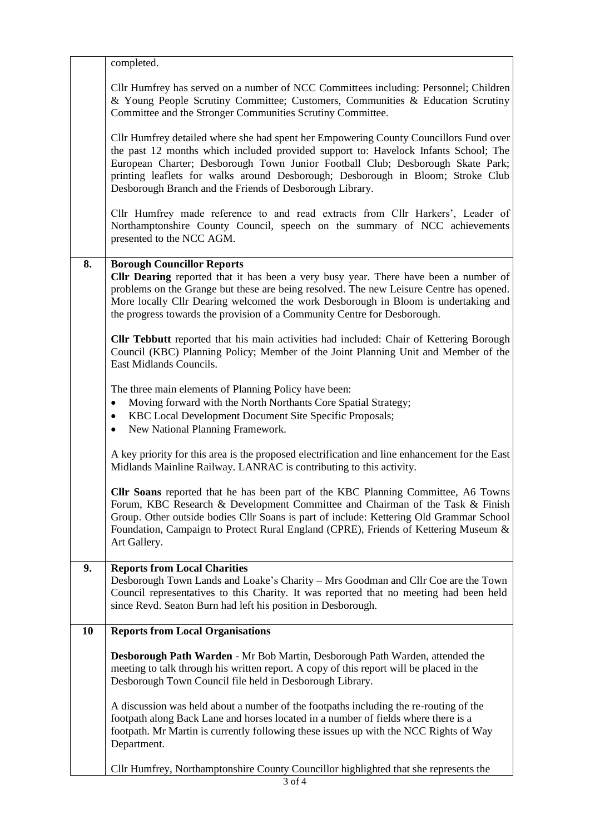|    | completed.                                                                                                                                                                                                                                                                                                                                                                                                    |
|----|---------------------------------------------------------------------------------------------------------------------------------------------------------------------------------------------------------------------------------------------------------------------------------------------------------------------------------------------------------------------------------------------------------------|
|    | Cllr Humfrey has served on a number of NCC Committees including: Personnel; Children<br>& Young People Scrutiny Committee; Customers, Communities & Education Scrutiny<br>Committee and the Stronger Communities Scrutiny Committee.                                                                                                                                                                          |
|    | Cllr Humfrey detailed where she had spent her Empowering County Councillors Fund over<br>the past 12 months which included provided support to: Havelock Infants School; The<br>European Charter; Desborough Town Junior Football Club; Desborough Skate Park;<br>printing leaflets for walks around Desborough; Desborough in Bloom; Stroke Club<br>Desborough Branch and the Friends of Desborough Library. |
|    | Cllr Humfrey made reference to and read extracts from Cllr Harkers', Leader of<br>Northamptonshire County Council, speech on the summary of NCC achievements<br>presented to the NCC AGM.                                                                                                                                                                                                                     |
| 8. | <b>Borough Councillor Reports</b>                                                                                                                                                                                                                                                                                                                                                                             |
|    | <b>Clir Dearing</b> reported that it has been a very busy year. There have been a number of<br>problems on the Grange but these are being resolved. The new Leisure Centre has opened.<br>More locally Cllr Dearing welcomed the work Desborough in Bloom is undertaking and<br>the progress towards the provision of a Community Centre for Desborough.                                                      |
|    | <b>Cllr Tebbutt</b> reported that his main activities had included: Chair of Kettering Borough<br>Council (KBC) Planning Policy; Member of the Joint Planning Unit and Member of the<br>East Midlands Councils.                                                                                                                                                                                               |
|    | The three main elements of Planning Policy have been:                                                                                                                                                                                                                                                                                                                                                         |
|    | Moving forward with the North Northants Core Spatial Strategy;                                                                                                                                                                                                                                                                                                                                                |
|    | KBC Local Development Document Site Specific Proposals;<br>٠<br>New National Planning Framework.<br>$\bullet$                                                                                                                                                                                                                                                                                                 |
|    | A key priority for this area is the proposed electrification and line enhancement for the East<br>Midlands Mainline Railway. LANRAC is contributing to this activity.                                                                                                                                                                                                                                         |
|    | <b>Cllr Soans</b> reported that he has been part of the KBC Planning Committee, A6 Towns<br>Forum, KBC Research & Development Committee and Chairman of the Task & Finish<br>Group. Other outside bodies Cllr Soans is part of include: Kettering Old Grammar School<br>Foundation, Campaign to Protect Rural England (CPRE), Friends of Kettering Museum &<br>Art Gallery.                                   |
| 9. | <b>Reports from Local Charities</b>                                                                                                                                                                                                                                                                                                                                                                           |
|    | Desborough Town Lands and Loake's Charity - Mrs Goodman and Cllr Coe are the Town<br>Council representatives to this Charity. It was reported that no meeting had been held<br>since Revd. Seaton Burn had left his position in Desborough.                                                                                                                                                                   |
| 10 | <b>Reports from Local Organisations</b>                                                                                                                                                                                                                                                                                                                                                                       |
|    | Desborough Path Warden - Mr Bob Martin, Desborough Path Warden, attended the                                                                                                                                                                                                                                                                                                                                  |
|    | meeting to talk through his written report. A copy of this report will be placed in the<br>Desborough Town Council file held in Desborough Library.                                                                                                                                                                                                                                                           |
|    | A discussion was held about a number of the footpaths including the re-routing of the<br>footpath along Back Lane and horses located in a number of fields where there is a<br>footpath. Mr Martin is currently following these issues up with the NCC Rights of Way<br>Department.                                                                                                                           |
|    | Cllr Humfrey, Northamptonshire County Councillor highlighted that she represents the                                                                                                                                                                                                                                                                                                                          |
|    | 3 of 4                                                                                                                                                                                                                                                                                                                                                                                                        |